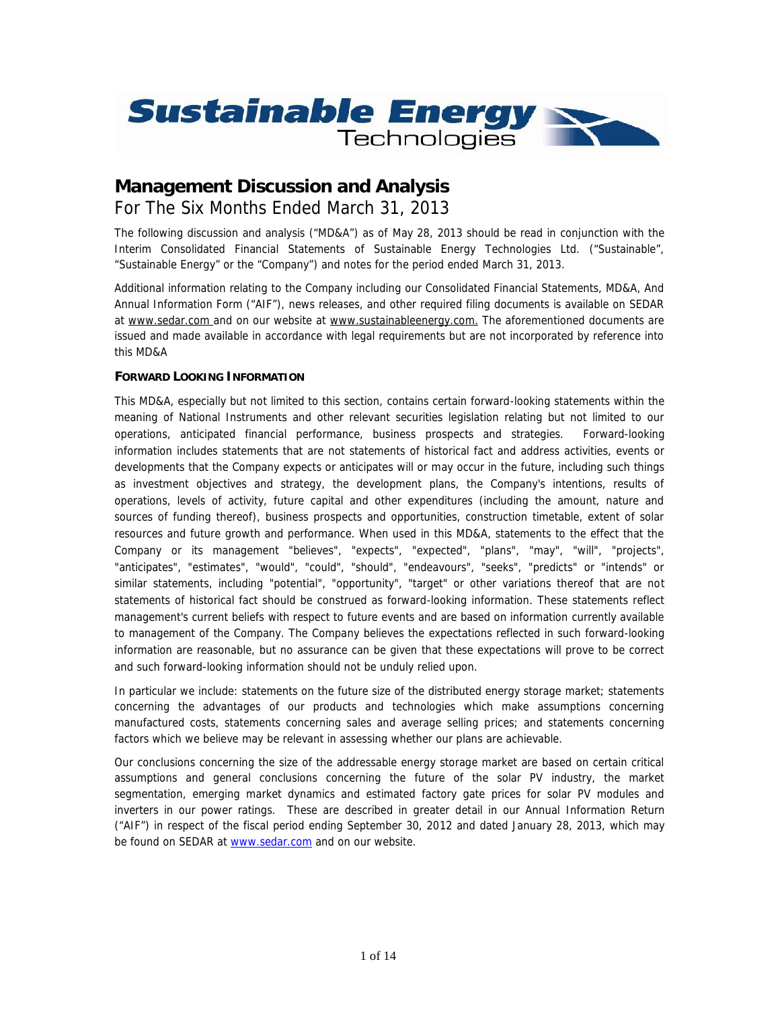

# **Management Discussion and Analysis** For The Six Months Ended March 31, 2013

*The following discussion and analysis ("MD&A") as of May 28, 2013 should be read in conjunction with the Interim Consolidated Financial Statements of Sustainable Energy Technologies Ltd. ("Sustainable", "Sustainable Energy" or the "Company") and notes for the period ended March 31, 2013.*

*Additional information relating to the Company including our Consolidated Financial Statements, MD&A, And Annual Information Form ("AIF"), news releases, and other required filing documents is available on SEDAR at www.sedar.com* and on our website at *www.sustainableenergy.com. The aforementioned documents are issued and made available in accordance with legal requirements but are not incorporated by reference into this MD&A*

# **FORWARD LOOKING INFORMATION**

This MD&A, especially but not limited to this section, contains certain forward-looking statements within the meaning of National Instruments and other relevant securities legislation relating but not limited to our operations, anticipated financial performance, business prospects and strategies. Forward-looking information includes statements that are not statements of historical fact and address activities, events or developments that the Company expects or anticipates will or may occur in the future, including such things as investment objectives and strategy, the development plans, the Company's intentions, results of operations, levels of activity, future capital and other expenditures (including the amount, nature and sources of funding thereof), business prospects and opportunities, construction timetable, extent of solar resources and future growth and performance. When used in this MD&A, statements to the effect that the Company or its management "believes", "expects", "expected", "plans", "may", "will", "projects", "anticipates", "estimates", "would", "could", "should", "endeavours", "seeks", "predicts" or "intends" or similar statements, including "potential", "opportunity", "target" or other variations thereof that are not statements of historical fact should be construed as forward-looking information. These statements reflect management's current beliefs with respect to future events and are based on information currently available to management of the Company. The Company believes the expectations reflected in such forward-looking information are reasonable, but no assurance can be given that these expectations will prove to be correct and such forward-looking information should not be unduly relied upon.

In particular we include: statements on the future size of the distributed energy storage market; statements concerning the advantages of our products and technologies which make assumptions concerning manufactured costs, statements concerning sales and average selling prices; and statements concerning factors which we believe may be relevant in assessing whether our plans are achievable.

Our conclusions concerning the size of the addressable energy storage market are based on certain critical assumptions and general conclusions concerning the future of the solar PV industry, the market segmentation, emerging market dynamics and estimated factory gate prices for solar PV modules and inverters in our power ratings. These are described in greater detail in our Annual Information Return ("AIF") in respect of the fiscal period ending September 30, 2012 and dated January 28, 2013, which may be found on SEDAR at www.sedar.com and on our website.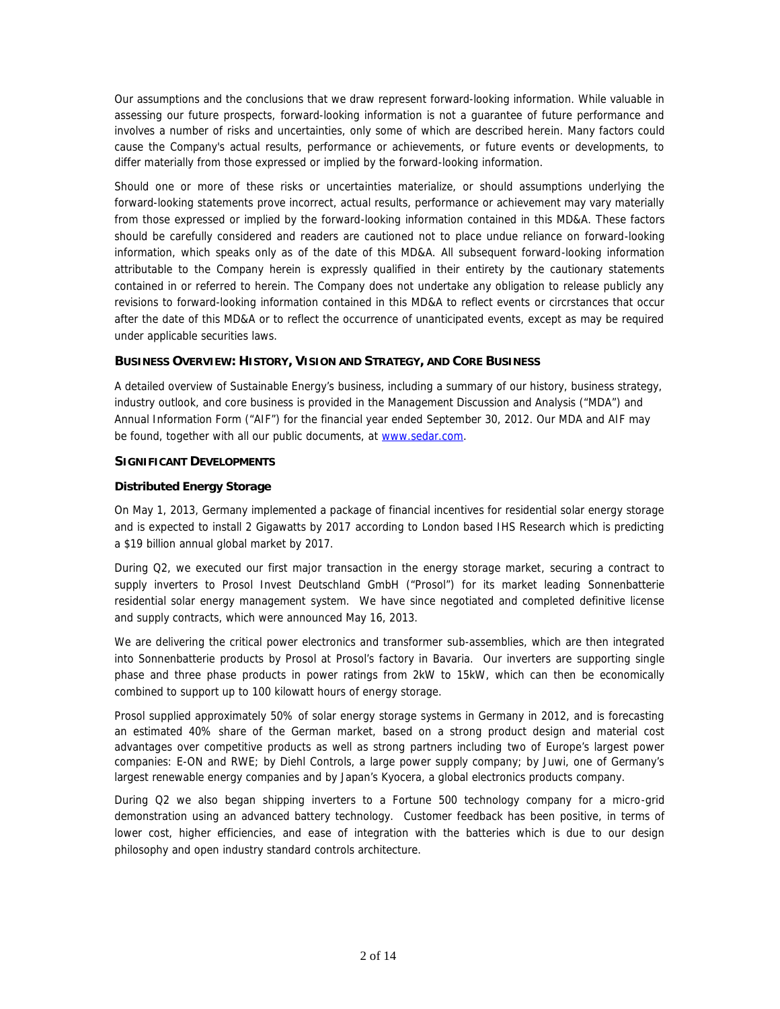Our assumptions and the conclusions that we draw represent forward-looking information. While valuable in assessing our future prospects, forward-looking information is not a guarantee of future performance and involves a number of risks and uncertainties, only some of which are described herein. Many factors could cause the Company's actual results, performance or achievements, or future events or developments, to differ materially from those expressed or implied by the forward-looking information.

Should one or more of these risks or uncertainties materialize, or should assumptions underlying the forward-looking statements prove incorrect, actual results, performance or achievement may vary materially from those expressed or implied by the forward-looking information contained in this MD&A. These factors should be carefully considered and readers are cautioned not to place undue reliance on forward-looking information, which speaks only as of the date of this MD&A. All subsequent forward-looking information attributable to the Company herein is expressly qualified in their entirety by the cautionary statements contained in or referred to herein. The Company does not undertake any obligation to release publicly any revisions to forward-looking information contained in this MD&A to reflect events or circrstances that occur after the date of this MD&A or to reflect the occurrence of unanticipated events, except as may be required under applicable securities laws.

# **BUSINESS OVERVIEW: HISTORY, VISION AND STRATEGY, AND CORE BUSINESS**

A detailed overview of Sustainable Energy's business, including a summary of our history, business strategy, industry outlook, and core business is provided in the Management Discussion and Analysis ("MDA") and Annual Information Form ("AIF") for the financial year ended September 30, 2012. Our MDA and AIF may be found, together with all our public documents, at www.sedar.com.

# **SIGNIFICANT DEVELOPMENTS**

# **Distributed Energy Storage**

On May 1, 2013, Germany implemented a package of financial incentives for residential solar energy storage and is expected to install 2 Gigawatts by 2017 according to London based IHS Research which is predicting a \$19 billion annual global market by 2017.

During Q2, we executed our first major transaction in the energy storage market, securing a contract to supply inverters to Prosol Invest Deutschland GmbH ("Prosol") for its market leading *Sonnenbatterie* residential solar energy management system. We have since negotiated and completed definitive license and supply contracts, which were announced May 16, 2013.

We are delivering the critical power electronics and transformer sub-assemblies, which are then integrated into *Sonnenbatterie* products by Prosol at Prosol's factory in Bavaria. Our inverters are supporting single phase and three phase products in power ratings from 2kW to 15kW, which can then be economically combined to support up to 100 kilowatt hours of energy storage.

Prosol supplied approximately 50% of solar energy storage systems in Germany in 2012, and is forecasting an estimated 40% share of the German market, based on a strong product design and material cost advantages over competitive products as well as strong partners including two of Europe's largest power companies: E-ON and RWE; by Diehl Controls, a large power supply company; by Juwi, one of Germany's largest renewable energy companies and by Japan's Kyocera, a global electronics products company.

During Q2 we also began shipping inverters to a Fortune 500 technology company for a micro-grid demonstration using an advanced battery technology. Customer feedback has been positive, in terms of lower cost, higher efficiencies, and ease of integration with the batteries which is due to our design philosophy and open industry standard controls architecture.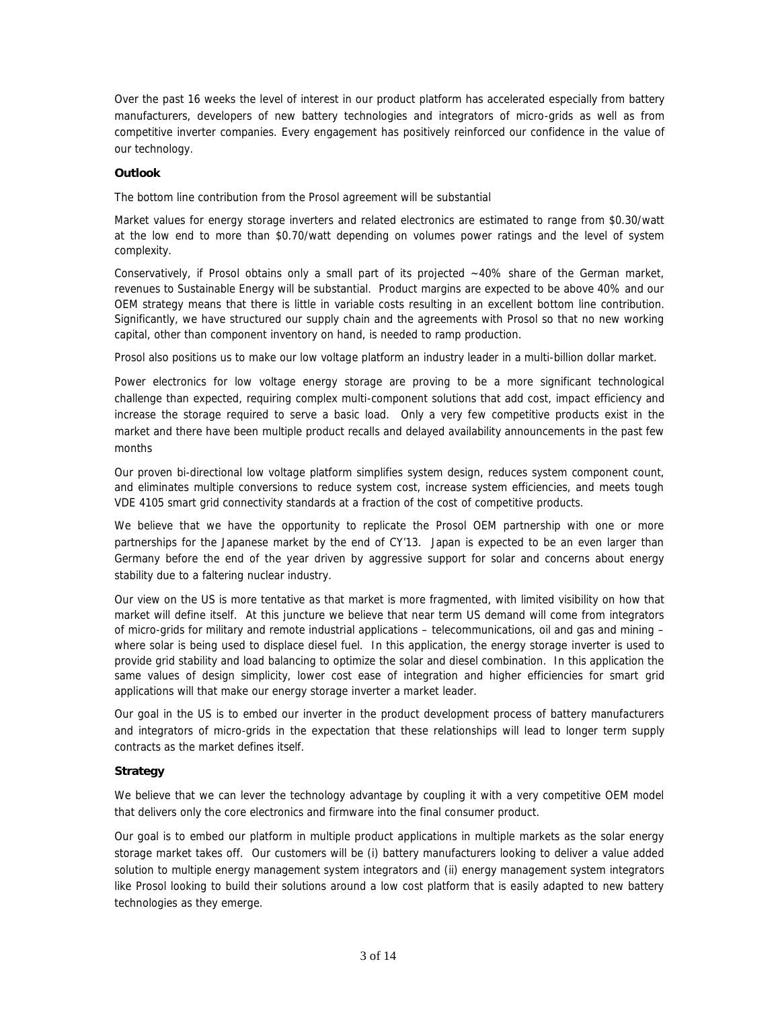Over the past 16 weeks the level of interest in our product platform has accelerated especially from battery manufacturers, developers of new battery technologies and integrators of micro-grids as well as from competitive inverter companies. Every engagement has positively reinforced our confidence in the value of our technology.

### **Outlook**

The bottom line contribution from the Prosol agreement will be substantial

Market values for energy storage inverters and related electronics are estimated to range from \$0.30/watt at the low end to more than \$0.70/watt depending on volumes power ratings and the level of system complexity.

Conservatively, if Prosol obtains only a small part of its projected ~40% share of the German market, revenues to Sustainable Energy will be substantial. Product margins are expected to be above 40% and our OEM strategy means that there is little in variable costs resulting in an excellent bottom line contribution. Significantly, we have structured our supply chain and the agreements with Prosol so that no new working capital, other than component inventory on hand, is needed to ramp production.

Prosol also positions us to make our low voltage platform an industry leader in a multi-billion dollar market.

Power electronics for low voltage energy storage are proving to be a more significant technological challenge than expected, requiring complex multi-component solutions that add cost, impact efficiency and increase the storage required to serve a basic load. Only a very few competitive products exist in the market and there have been multiple product recalls and delayed availability announcements in the past few months

Our proven bi-directional low voltage platform simplifies system design, reduces system component count, and eliminates multiple conversions to reduce system cost, increase system efficiencies, and meets tough VDE 4105 smart grid connectivity standards at a fraction of the cost of competitive products.

We believe that we have the opportunity to replicate the Prosol OEM partnership with one or more partnerships for the Japanese market by the end of CY'13. Japan is expected to be an even larger than Germany before the end of the year driven by aggressive support for solar and concerns about energy stability due to a faltering nuclear industry.

Our view on the US is more tentative as that market is more fragmented, with limited visibility on how that market will define itself. At this juncture we believe that near term US demand will come from integrators of micro-grids for military and remote industrial applications – telecommunications, oil and gas and mining – where solar is being used to displace diesel fuel. In this application, the energy storage inverter is used to provide grid stability and load balancing to optimize the solar and diesel combination. In this application the same values of design simplicity, lower cost ease of integration and higher efficiencies for smart grid applications will that make our energy storage inverter a market leader.

Our goal in the US is to embed our inverter in the product development process of battery manufacturers and integrators of micro-grids in the expectation that these relationships will lead to longer term supply contracts as the market defines itself.

### **Strategy**

We believe that we can lever the technology advantage by coupling it with a very competitive OEM model that delivers only the core electronics and firmware into the final consumer product.

Our goal is to embed our platform in multiple product applications in multiple markets as the solar energy storage market takes off. Our customers will be (i) battery manufacturers looking to deliver a value added solution to multiple energy management system integrators and (ii) energy management system integrators like Prosol looking to build their solutions around a low cost platform that is easily adapted to new battery technologies as they emerge.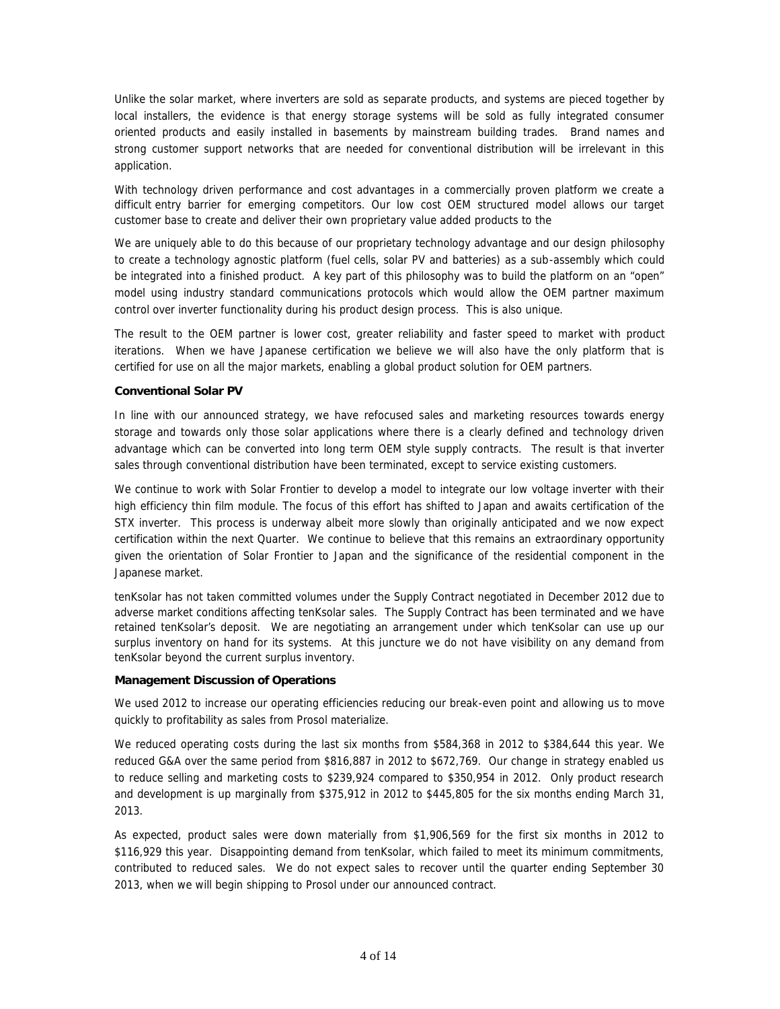Unlike the solar market, where inverters are sold as separate products, and systems are pieced together by local installers, the evidence is that energy storage systems will be sold as fully integrated consumer oriented products and easily installed in basements by mainstream building trades. Brand names and strong customer support networks that are needed for conventional distribution will be irrelevant in this application.

With technology driven performance and cost advantages in a commercially proven platform we create a difficult entry barrier for emerging competitors. Our low cost OEM structured model allows our target customer base to create and deliver their own proprietary value added products to the

We are uniquely able to do this because of our proprietary technology advantage and our design philosophy to create a technology agnostic platform (fuel cells, solar PV and batteries) as a sub-assembly which could be integrated into a finished product. A key part of this philosophy was to build the platform on an "open" model using industry standard communications protocols which would allow the OEM partner maximum control over inverter functionality during his product design process. This is also unique.

The result to the OEM partner is lower cost, greater reliability and faster speed to market with product iterations. When we have Japanese certification we believe we will also have the only platform that is certified for use on all the major markets, enabling a global product solution for OEM partners.

### **Conventional Solar PV**

In line with our announced strategy, we have refocused sales and marketing resources towards energy storage and towards only those solar applications where there is a clearly defined and technology driven advantage which can be converted into long term OEM style supply contracts. The result is that inverter sales through conventional distribution have been terminated, except to service existing customers.

We continue to work with Solar Frontier to develop a model to integrate our low voltage inverter with their high efficiency thin film module. The focus of this effort has shifted to Japan and awaits certification of the STX inverter. This process is underway albeit more slowly than originally anticipated and we now expect certification within the next Quarter. We continue to believe that this remains an extraordinary opportunity given the orientation of Solar Frontier to Japan and the significance of the residential component in the Japanese market.

tenKsolar has not taken committed volumes under the Supply Contract negotiated in December 2012 due to adverse market conditions affecting tenKsolar sales. The Supply Contract has been terminated and we have retained tenKsolar's deposit. We are negotiating an arrangement under which tenKsolar can use up our surplus inventory on hand for its systems. At this juncture we do not have visibility on any demand from tenKsolar beyond the current surplus inventory.

### **Management Discussion of Operations**

We used 2012 to increase our operating efficiencies reducing our break-even point and allowing us to move quickly to profitability as sales from Prosol materialize.

We reduced operating costs during the last six months from \$584,368 in 2012 to \$384,644 this year. We reduced G&A over the same period from \$816,887 in 2012 to \$672,769. Our change in strategy enabled us to reduce selling and marketing costs to \$239,924 compared to \$350,954 in 2012. Only product research and development is up marginally from \$375,912 in 2012 to \$445,805 for the six months ending March 31, 2013.

As expected, product sales were down materially from \$1,906,569 for the first six months in 2012 to \$116,929 this year. Disappointing demand from tenKsolar, which failed to meet its minimum commitments, contributed to reduced sales. We do not expect sales to recover until the quarter ending September 30 2013, when we will begin shipping to Prosol under our announced contract.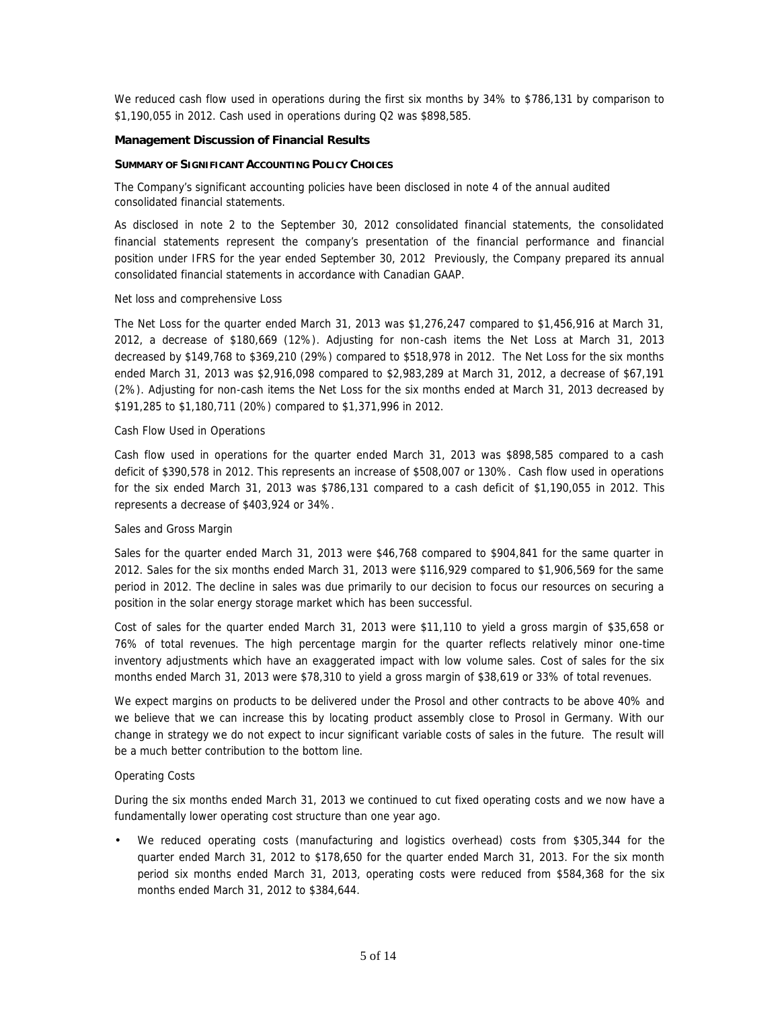We reduced cash flow used in operations during the first six months by 34% to \$786,131 by comparison to \$1,190,055 in 2012. Cash used in operations during Q2 was \$898,585.

### **Management Discussion of Financial Results**

### **SUMMARY OF SIGNIFICANT ACCOUNTING POLICY CHOICES**

The Company's significant accounting policies have been disclosed in note 4 of the annual audited consolidated financial statements.

As disclosed in note 2 to the September 30, 2012 consolidated financial statements, the consolidated financial statements represent the company's presentation of the financial performance and financial position under IFRS for the year ended September 30, 2012 Previously, the Company prepared its annual consolidated financial statements in accordance with Canadian GAAP.

### *Net loss and comprehensive Loss*

The Net Loss for the quarter ended March 31, 2013 was \$1,276,247 compared to \$1,456,916 at March 31, 2012, a decrease of \$180,669 (12%). Adjusting for non-cash items the Net Loss at March 31, 2013 decreased by \$149,768 to \$369,210 (29%) compared to \$518,978 in 2012. The Net Loss for the six months ended March 31, 2013 was \$2,916,098 compared to \$2,983,289 at March 31, 2012, a decrease of \$67,191 (2%). Adjusting for non-cash items the Net Loss for the six months ended at March 31, 2013 decreased by \$191,285 to \$1,180,711 (20%) compared to \$1,371,996 in 2012.

### *Cash Flow Used in Operations*

Cash flow used in operations for the quarter ended March 31, 2013 was \$898,585 compared to a cash deficit of \$390,578 in 2012. This represents an increase of \$508,007 or 130%. Cash flow used in operations for the six ended March 31, 2013 was \$786,131 compared to a cash deficit of \$1,190,055 in 2012. This represents a decrease of \$403,924 or 34%.

### *Sales and Gross Margin*

Sales for the quarter ended March 31, 2013 were \$46,768 compared to \$904,841 for the same quarter in 2012. Sales for the six months ended March 31, 2013 were \$116,929 compared to \$1,906,569 for the same period in 2012. The decline in sales was due primarily to our decision to focus our resources on securing a position in the solar energy storage market which has been successful.

Cost of sales for the quarter ended March 31, 2013 were \$11,110 to yield a gross margin of \$35,658 or 76% of total revenues. The high percentage margin for the quarter reflects relatively minor one-time inventory adjustments which have an exaggerated impact with low volume sales. Cost of sales for the six months ended March 31, 2013 were \$78,310 to yield a gross margin of \$38,619 or 33% of total revenues.

We expect margins on products to be delivered under the Prosol and other contracts to be above 40% and we believe that we can increase this by locating product assembly close to Prosol in Germany. With our change in strategy we do not expect to incur significant variable costs of sales in the future. The result will be a much better contribution to the bottom line.

### *Operating Costs*

During the six months ended March 31, 2013 we continued to cut fixed operating costs and we now have a fundamentally lower operating cost structure than one year ago.

 We reduced operating costs (manufacturing and logistics overhead) costs from \$305,344 for the quarter ended March 31, 2012 to \$178,650 for the quarter ended March 31, 2013. For the six month period six months ended March 31, 2013, operating costs were reduced from \$584,368 for the six months ended March 31, 2012 to \$384,644.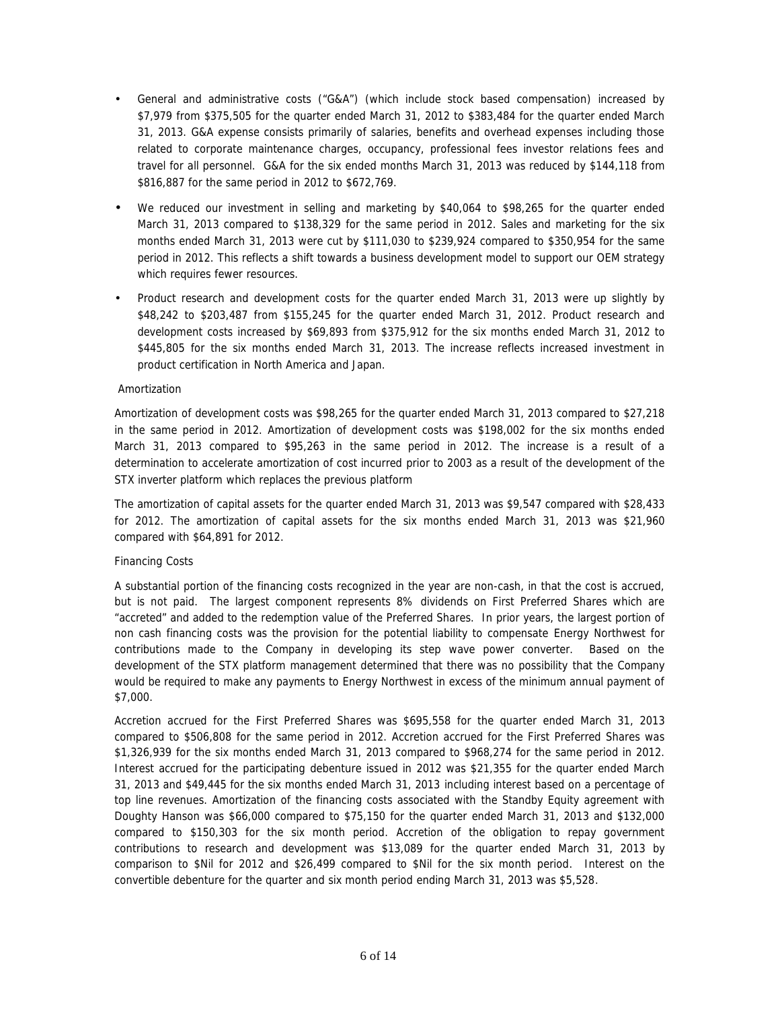- General and administrative costs ("G&A") (which include stock based compensation) increased by \$7,979 from \$375,505 for the quarter ended March 31, 2012 to \$383,484 for the quarter ended March 31, 2013. G&A expense consists primarily of salaries, benefits and overhead expenses including those related to corporate maintenance charges, occupancy, professional fees investor relations fees and travel for all personnel. G&A for the six ended months March 31, 2013 was reduced by \$144,118 from \$816,887 for the same period in 2012 to \$672,769.
- We reduced our investment in selling and marketing by \$40,064 to \$98,265 for the quarter ended March 31, 2013 compared to \$138,329 for the same period in 2012. Sales and marketing for the six months ended March 31, 2013 were cut by \$111,030 to \$239,924 compared to \$350,954 for the same period in 2012. This reflects a shift towards a business development model to support our OEM strategy which requires fewer resources.
- Product research and development costs for the quarter ended March 31, 2013 were up slightly by \$48,242 to \$203,487 from \$155,245 for the quarter ended March 31, 2012. Product research and development costs increased by \$69,893 from \$375,912 for the six months ended March 31, 2012 to \$445,805 for the six months ended March 31, 2013. The increase reflects increased investment in product certification in North America and Japan.

# *Amortization*

Amortization of development costs was \$98,265 for the quarter ended March 31, 2013 compared to \$27,218 in the same period in 2012. Amortization of development costs was \$198,002 for the six months ended March 31, 2013 compared to \$95,263 in the same period in 2012. The increase is a result of a determination to accelerate amortization of cost incurred prior to 2003 as a result of the development of the STX inverter platform which replaces the previous platform

The amortization of capital assets for the quarter ended March 31, 2013 was \$9,547 compared with \$28,433 for 2012. The amortization of capital assets for the six months ended March 31, 2013 was \$21,960 compared with \$64,891 for 2012.

# *Financing Costs*

A substantial portion of the financing costs recognized in the year are non-cash, in that the cost is accrued, but is not paid. The largest component represents 8% dividends on First Preferred Shares which are "accreted" and added to the redemption value of the Preferred Shares. In prior years, the largest portion of non cash financing costs was the provision for the potential liability to compensate Energy Northwest for contributions made to the Company in developing its step wave power converter. Based on the development of the STX platform management determined that there was no possibility that the Company would be required to make any payments to Energy Northwest in excess of the minimum annual payment of \$7,000.

Accretion accrued for the First Preferred Shares was \$695,558 for the quarter ended March 31, 2013 compared to \$506,808 for the same period in 2012. Accretion accrued for the First Preferred Shares was \$1,326,939 for the six months ended March 31, 2013 compared to \$968,274 for the same period in 2012. Interest accrued for the participating debenture issued in 2012 was \$21,355 for the quarter ended March 31, 2013 and \$49,445 for the six months ended March 31, 2013 including interest based on a percentage of top line revenues. Amortization of the financing costs associated with the Standby Equity agreement with Doughty Hanson was \$66,000 compared to \$75,150 for the quarter ended March 31, 2013 and \$132,000 compared to \$150,303 for the six month period. Accretion of the obligation to repay government contributions to research and development was \$13,089 for the quarter ended March 31, 2013 by comparison to \$Nil for 2012 and \$26,499 compared to \$Nil for the six month period. Interest on the convertible debenture for the quarter and six month period ending March 31, 2013 was \$5,528.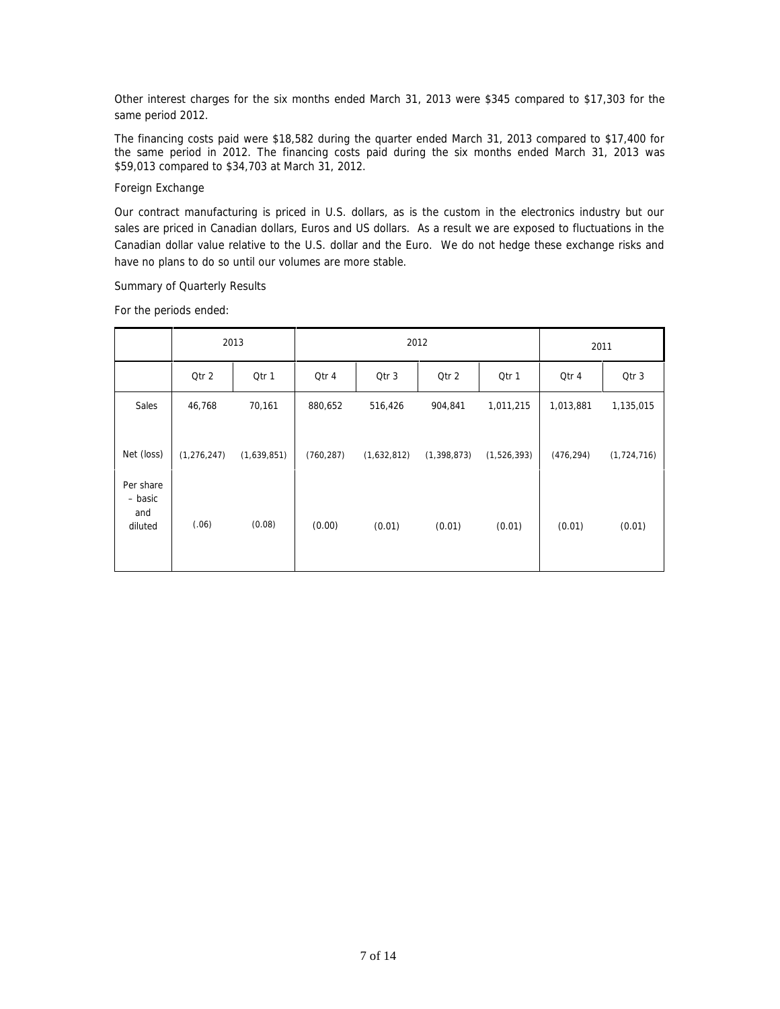Other interest charges for the six months ended March 31, 2013 were \$345 compared to \$17,303 for the same period 2012.

The financing costs paid were \$18,582 during the quarter ended March 31, 2013 compared to \$17,400 for the same period in 2012. The financing costs paid during the six months ended March 31, 2013 was \$59,013 compared to \$34,703 at March 31, 2012.

# *Foreign Exchange*

Our contract manufacturing is priced in U.S. dollars, as is the custom in the electronics industry but our sales are priced in Canadian dollars, Euros and US dollars. As a result we are exposed to fluctuations in the Canadian dollar value relative to the U.S. dollar and the Euro. We do not hedge these exchange risks and have no plans to do so until our volumes are more stable.

### *Summary of Quarterly Results*

For the periods ended:

|                                        | 2013          |             | 2012       |             |               | 2011        |            |               |
|----------------------------------------|---------------|-------------|------------|-------------|---------------|-------------|------------|---------------|
|                                        | Qtr 2         | Qtr 1       | Qtr 4      | Qtr 3       | Qtr 2         | Qtr 1       | Qtr 4      | Qtr 3         |
| Sales                                  | 46,768        | 70,161      | 880,652    | 516,426     | 904,841       | 1,011,215   | 1,013,881  | 1,135,015     |
| Net (loss)                             | (1, 276, 247) | (1,639,851) | (760, 287) | (1,632,812) | (1, 398, 873) | (1,526,393) | (476, 294) | (1, 724, 716) |
| Per share<br>- basic<br>and<br>diluted | (.06)         | (0.08)      | (0.00)     | (0.01)      | (0.01)        | (0.01)      | (0.01)     | (0.01)        |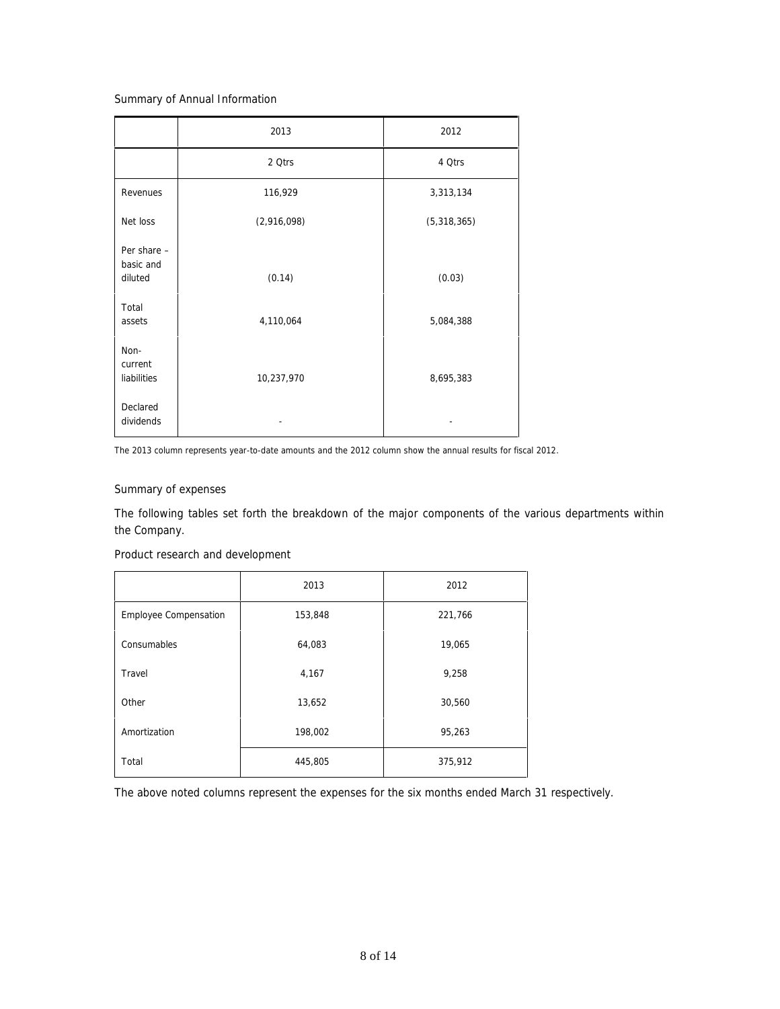# *Summary of Annual Information*

|                                     | 2013        | 2012        |
|-------------------------------------|-------------|-------------|
|                                     | 2 Qtrs      | 4 Qtrs      |
| Revenues                            | 116,929     | 3,313,134   |
| Net loss                            | (2,916,098) | (5,318,365) |
| Per share -<br>basic and<br>diluted | (0.14)      | (0.03)      |
| Total<br>assets                     | 4,110,064   | 5,084,388   |
| Non-<br>current<br>liabilities      | 10,237,970  | 8,695,383   |
| Declared<br>dividends               |             |             |

The 2013 column represents year-to-date amounts and the 2012 column show the annual results for fiscal 2012.

# *Summary of expenses*

The following tables set forth the breakdown of the major components of the various departments within the Company.

# *Product research and development*

|                              | 2013    | 2012    |
|------------------------------|---------|---------|
| <b>Employee Compensation</b> | 153,848 | 221,766 |
| Consumables                  | 64,083  | 19,065  |
| Travel                       | 4,167   | 9,258   |
| Other                        | 13,652  | 30,560  |
| Amortization                 | 198,002 | 95,263  |
| Total                        | 445,805 | 375,912 |

The above noted columns represent the expenses for the six months ended March 31 respectively.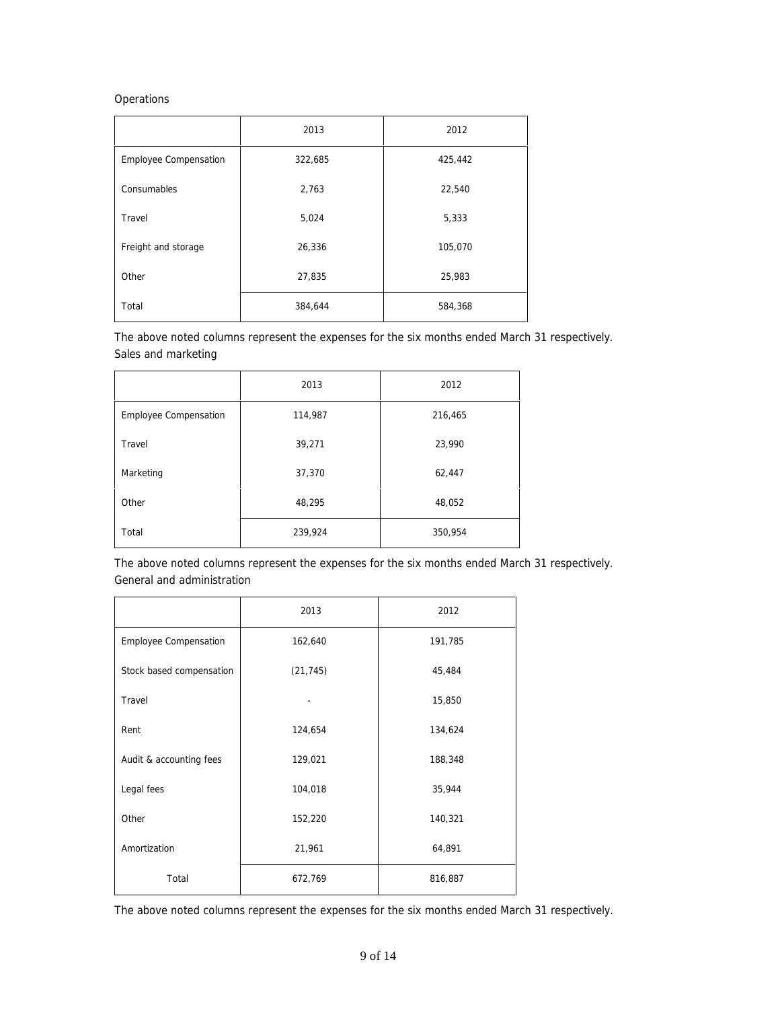# *Operations*

|                              | 2013    | 2012    |
|------------------------------|---------|---------|
| <b>Employee Compensation</b> | 322,685 | 425,442 |
| Consumables                  | 2,763   | 22,540  |
| Travel                       | 5,024   | 5,333   |
| Freight and storage          | 26,336  | 105,070 |
| Other                        | 27,835  | 25,983  |
| Total                        | 384,644 | 584,368 |

The above noted columns represent the expenses for the six months ended March 31 respectively. *Sales and marketing*

|                              | 2013    | 2012    |
|------------------------------|---------|---------|
| <b>Employee Compensation</b> | 114,987 | 216,465 |
| Travel                       | 39,271  | 23,990  |
| Marketing                    | 37,370  | 62,447  |
| Other                        | 48,295  | 48,052  |
| Total                        | 239,924 | 350,954 |

The above noted columns represent the expenses for the six months ended March 31 respectively. *General and administration*

|                          | 2013      | 2012    |  |
|--------------------------|-----------|---------|--|
| Employee Compensation    | 162,640   | 191,785 |  |
| Stock based compensation | (21, 745) | 45,484  |  |
| Travel                   |           | 15,850  |  |
| Rent                     | 124,654   | 134,624 |  |
| Audit & accounting fees  | 129,021   | 188,348 |  |
| Legal fees               | 104,018   | 35,944  |  |
| Other                    | 152,220   | 140,321 |  |
| Amortization             | 21,961    | 64,891  |  |
| Total                    | 672,769   | 816,887 |  |

The above noted columns represent the expenses for the six months ended March 31 respectively.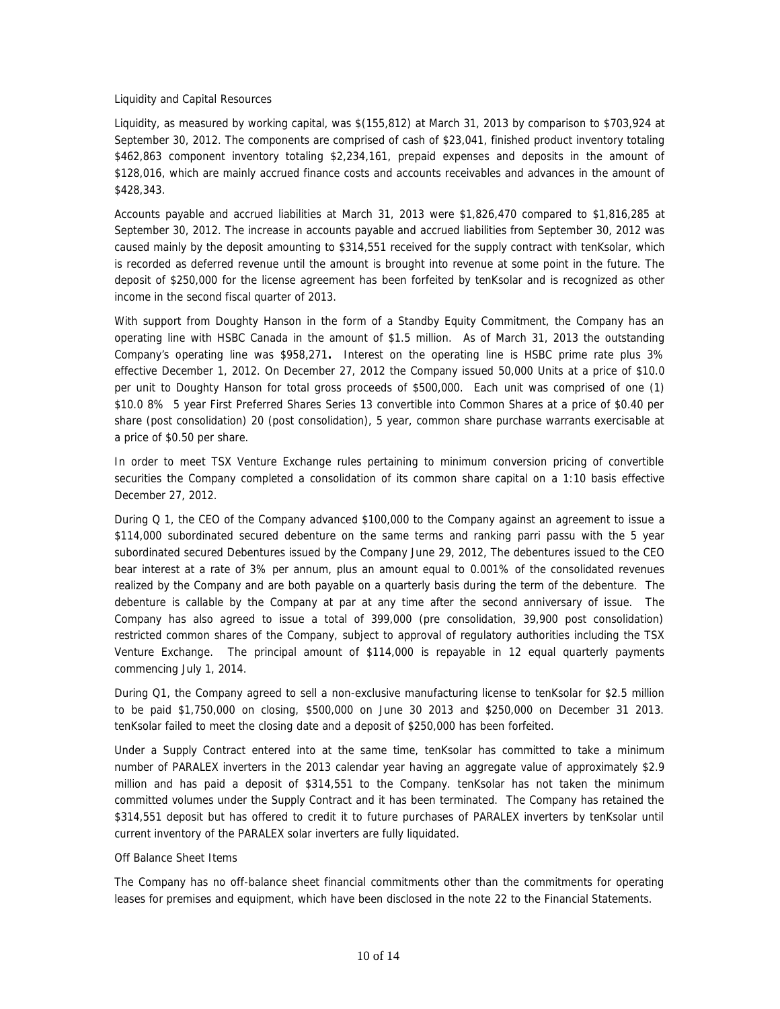#### *Liquidity and Capital Resources*

Liquidity, as measured by working capital, was \$(155,812) at March 31, 2013 by comparison to \$703,924 at September 30, 2012. The components are comprised of cash of \$23,041, finished product inventory totaling \$462,863 component inventory totaling \$2,234,161, prepaid expenses and deposits in the amount of \$128,016, which are mainly accrued finance costs and accounts receivables and advances in the amount of \$428,343.

Accounts payable and accrued liabilities at March 31, 2013 were \$1,826,470 compared to \$1,816,285 at September 30, 2012. The increase in accounts payable and accrued liabilities from September 30, 2012 was caused mainly by the deposit amounting to \$314,551 received for the supply contract with tenKsolar, which is recorded as deferred revenue until the amount is brought into revenue at some point in the future. The deposit of \$250,000 for the license agreement has been forfeited by tenKsolar and is recognized as other income in the second fiscal quarter of 2013.

With support from Doughty Hanson in the form of a Standby Equity Commitment, the Company has an operating line with HSBC Canada in the amount of \$1.5 million. As of March 31, 2013 the outstanding Company's operating line was \$958,271**.** Interest on the operating line is HSBC prime rate plus 3% effective December 1, 2012. On December 27, 2012 the Company issued 50,000 Units at a price of \$10.0 per unit to Doughty Hanson for total gross proceeds of \$500,000. Each unit was comprised of one (1) \$10.0 8% 5 year First Preferred Shares Series 13 convertible into Common Shares at a price of \$0.40 per share (post consolidation) 20 (post consolidation), 5 year, common share purchase warrants exercisable at a price of \$0.50 per share.

In order to meet TSX Venture Exchange rules pertaining to minimum conversion pricing of convertible securities the Company completed a consolidation of its common share capital on a 1:10 basis effective December 27, 2012.

During Q 1, the CEO of the Company advanced \$100,000 to the Company against an agreement to issue a \$114,000 subordinated secured debenture on the same terms and ranking *parri passu* with the 5 year subordinated secured Debentures issued by the Company June 29, 2012, The debentures issued to the CEO bear interest at a rate of 3% per annum, plus an amount equal to 0.001% of the consolidated revenues realized by the Company and are both payable on a quarterly basis during the term of the debenture. The debenture is callable by the Company at par at any time after the second anniversary of issue. The Company has also agreed to issue a total of 399,000 (pre consolidation, 39,900 post consolidation) restricted common shares of the Company, subject to approval of regulatory authorities including the TSX Venture Exchange. The principal amount of \$114,000 is repayable in 12 equal quarterly payments commencing July 1, 2014.

During Q1, the Company agreed to sell a non-exclusive manufacturing license to tenKsolar for \$2.5 million to be paid \$1,750,000 on closing, \$500,000 on June 30 2013 and \$250,000 on December 31 2013. tenKsolar failed to meet the closing date and a deposit of \$250,000 has been forfeited.

Under a Supply Contract entered into at the same time, tenKsolar has committed to take a minimum number of PARALEX inverters in the 2013 calendar year having an aggregate value of approximately \$2.9 million and has paid a deposit of \$314,551 to the Company. tenKsolar has not taken the minimum committed volumes under the Supply Contract and it has been terminated. The Company has retained the \$314,551 deposit but has offered to credit it to future purchases of PARALEX inverters by tenKsolar until current inventory of the PARALEX solar inverters are fully liquidated.

### *Off Balance Sheet Items*

The Company has no off-balance sheet financial commitments other than the commitments for operating leases for premises and equipment, which have been disclosed in the note 22 to the Financial Statements.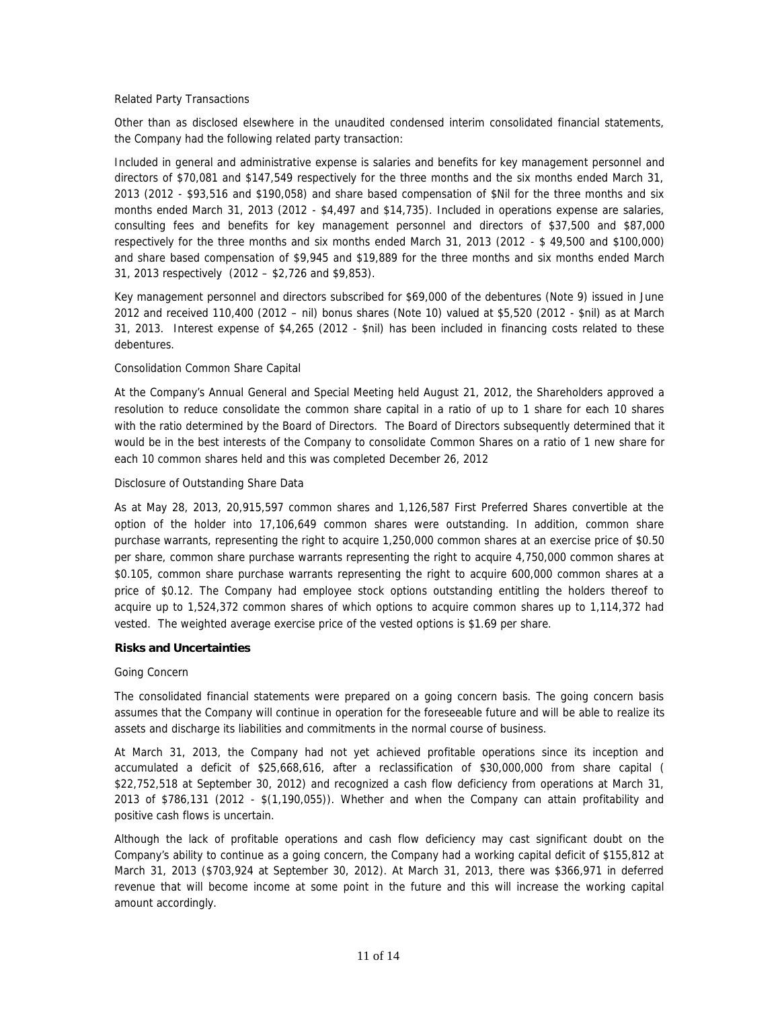### *Related Party Transactions*

Other than as disclosed elsewhere in the unaudited condensed interim consolidated financial statements, the Company had the following related party transaction:

Included in general and administrative expense is salaries and benefits for key management personnel and directors of \$70,081 and \$147,549 respectively for the three months and the six months ended March 31, 2013 (2012 - \$93,516 and \$190,058) and share based compensation of \$Nil for the three months and six months ended March 31, 2013 (2012 - \$4,497 and \$14,735). Included in operations expense are salaries, consulting fees and benefits for key management personnel and directors of \$37,500 and \$87,000 respectively for the three months and six months ended March 31, 2013 (2012 - \$ 49,500 and \$100,000) and share based compensation of \$9,945 and \$19,889 for the three months and six months ended March 31, 2013 respectively (2012 – \$2,726 and \$9,853).

Key management personnel and directors subscribed for \$69,000 of the debentures (Note 9) issued in June 2012 and received 110,400 (2012 – nil) bonus shares (Note 10) valued at \$5,520 (2012 - \$nil) as at March 31, 2013. Interest expense of \$4,265 (2012 - \$nil) has been included in financing costs related to these debentures.

### *Consolidation Common Share Capital*

At the Company's Annual General and Special Meeting held August 21, 2012, the Shareholders approved a resolution to reduce consolidate the common share capital in a ratio of up to 1 share for each 10 shares with the ratio determined by the Board of Directors. The Board of Directors subsequently determined that it would be in the best interests of the Company to consolidate Common Shares on a ratio of 1 new share for each 10 common shares held and this was completed December 26, 2012

### *Disclosure of Outstanding Share Data*

As at May 28, 2013, 20,915,597 common shares and 1,126,587 First Preferred Shares convertible at the option of the holder into 17,106,649 common shares were outstanding. In addition, common share purchase warrants, representing the right to acquire 1,250,000 common shares at an exercise price of \$0.50 per share, common share purchase warrants representing the right to acquire 4,750,000 common shares at \$0.105, common share purchase warrants representing the right to acquire 600,000 common shares at a price of \$0.12. The Company had employee stock options outstanding entitling the holders thereof to acquire up to 1,524,372 common shares of which options to acquire common shares up to 1,114,372 had vested. The weighted average exercise price of the vested options is \$1.69 per share.

### **Risks and Uncertainties**

### *Going Concern*

The consolidated financial statements were prepared on a going concern basis. The going concern basis assumes that the Company will continue in operation for the foreseeable future and will be able to realize its assets and discharge its liabilities and commitments in the normal course of business.

At March 31, 2013, the Company had not yet achieved profitable operations since its inception and accumulated a deficit of \$25,668,616, after a reclassification of \$30,000,000 from share capital ( \$22,752,518 at September 30, 2012) and recognized a cash flow deficiency from operations at March 31, 2013 of \$786,131 (2012 - \$(1,190,055)). Whether and when the Company can attain profitability and positive cash flows is uncertain.

Although the lack of profitable operations and cash flow deficiency may cast significant doubt on the Company's ability to continue as a going concern, the Company had a working capital deficit of \$155,812 at March 31, 2013 (\$703,924 at September 30, 2012). At March 31, 2013, there was \$366,971 in deferred revenue that will become income at some point in the future and this will increase the working capital amount accordingly.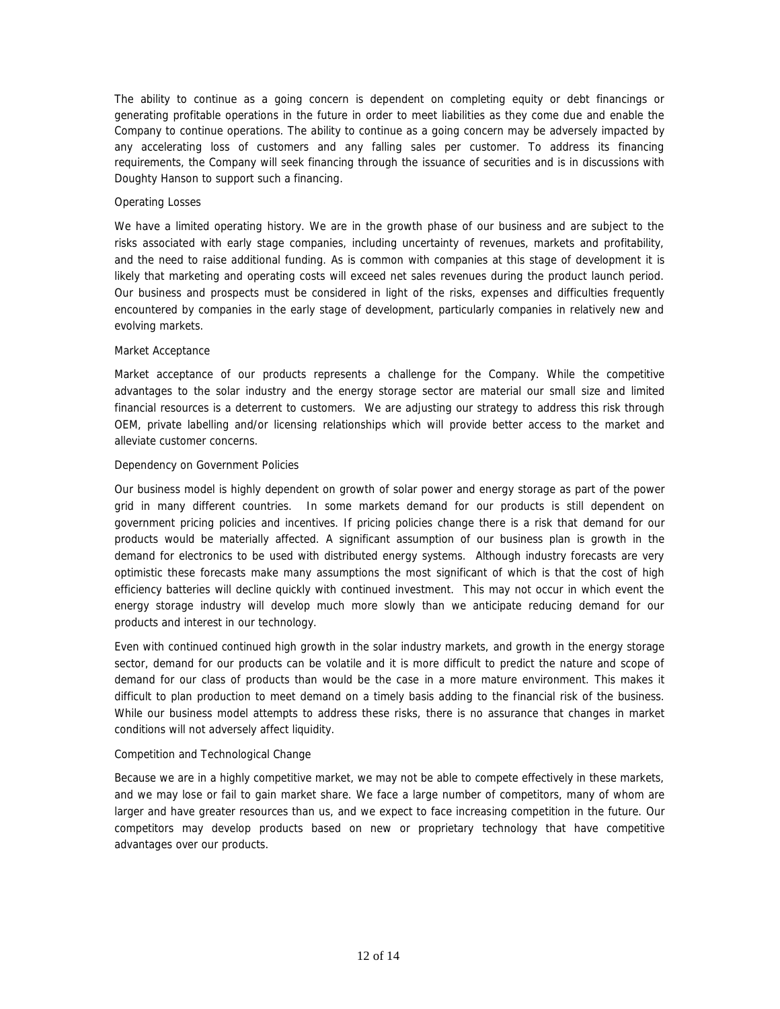The ability to continue as a going concern is dependent on completing equity or debt financings or generating profitable operations in the future in order to meet liabilities as they come due and enable the Company to continue operations. The ability to continue as a going concern may be adversely impacted by any accelerating loss of customers and any falling sales per customer. To address its financing requirements, the Company will seek financing through the issuance of securities and is in discussions with Doughty Hanson to support such a financing.

### *Operating Losses*

We have a limited operating history. We are in the growth phase of our business and are subject to the risks associated with early stage companies, including uncertainty of revenues, markets and profitability, and the need to raise additional funding. As is common with companies at this stage of development it is likely that marketing and operating costs will exceed net sales revenues during the product launch period. Our business and prospects must be considered in light of the risks, expenses and difficulties frequently encountered by companies in the early stage of development, particularly companies in relatively new and evolving markets.

### *Market Acceptance*

Market acceptance of our products represents a challenge for the Company. While the competitive advantages to the solar industry and the energy storage sector are material our small size and limited financial resources is a deterrent to customers. We are adjusting our strategy to address this risk through OEM, private labelling and/or licensing relationships which will provide better access to the market and alleviate customer concerns.

### *Dependency on Government Policies*

Our business model is highly dependent on growth of solar power and energy storage as part of the power grid in many different countries. In some markets demand for our products is still dependent on government pricing policies and incentives. If pricing policies change there is a risk that demand for our products would be materially affected. A significant assumption of our business plan is growth in the demand for electronics to be used with distributed energy systems. Although industry forecasts are very optimistic these forecasts make many assumptions the most significant of which is that the cost of high efficiency batteries will decline quickly with continued investment. This may not occur in which event the energy storage industry will develop much more slowly than we anticipate reducing demand for our products and interest in our technology.

Even with continued continued high growth in the solar industry markets, and growth in the energy storage sector, demand for our products can be volatile and it is more difficult to predict the nature and scope of demand for our class of products than would be the case in a more mature environment. This makes it difficult to plan production to meet demand on a timely basis adding to the financial risk of the business. While our business model attempts to address these risks, there is no assurance that changes in market conditions will not adversely affect liquidity.

### *Competition and Technological Change*

Because we are in a highly competitive market, we may not be able to compete effectively in these markets, and we may lose or fail to gain market share. We face a large number of competitors, many of whom are larger and have greater resources than us, and we expect to face increasing competition in the future. Our competitors may develop products based on new or proprietary technology that have competitive advantages over our products.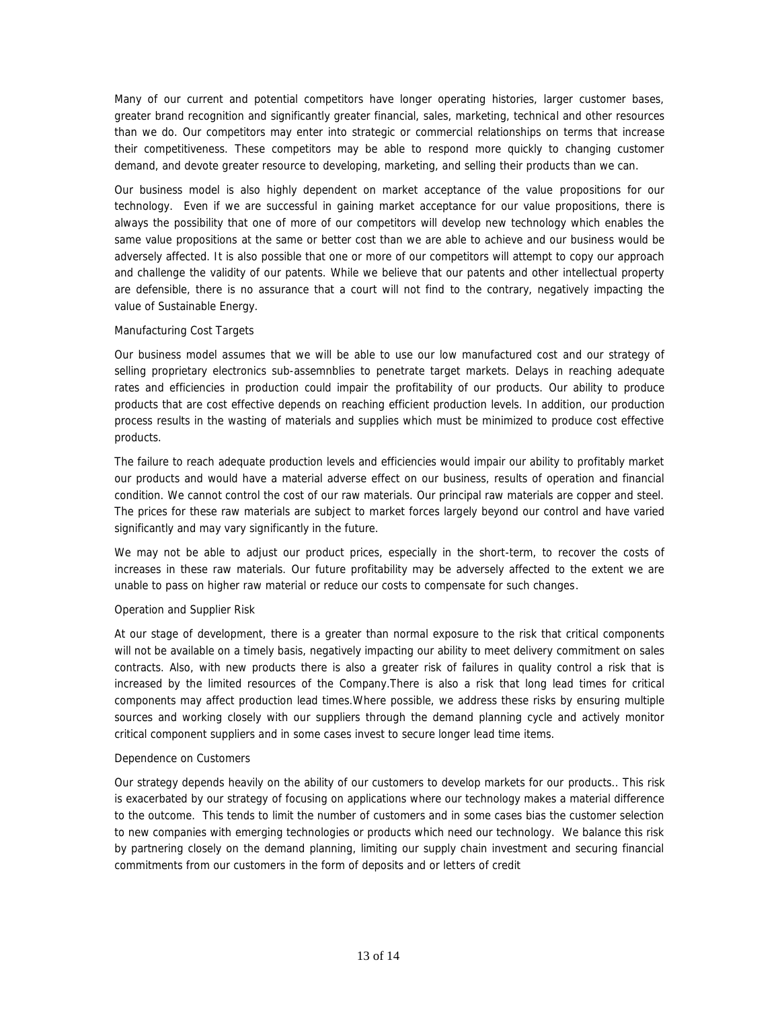Many of our current and potential competitors have longer operating histories, larger customer bases, greater brand recognition and significantly greater financial, sales, marketing, technical and other resources than we do. Our competitors may enter into strategic or commercial relationships on terms that increase their competitiveness. These competitors may be able to respond more quickly to changing customer demand, and devote greater resource to developing, marketing, and selling their products than we can.

Our business model is also highly dependent on market acceptance of the value propositions for our technology. Even if we are successful in gaining market acceptance for our value propositions, there is always the possibility that one of more of our competitors will develop new technology which enables the same value propositions at the same or better cost than we are able to achieve and our business would be adversely affected. It is also possible that one or more of our competitors will attempt to copy our approach and challenge the validity of our patents. While we believe that our patents and other intellectual property are defensible, there is no assurance that a court will not find to the contrary, negatively impacting the value of Sustainable Energy.

### *Manufacturing Cost Targets*

Our business model assumes that we will be able to use our low manufactured cost and our strategy of selling proprietary electronics sub-assemnblies to penetrate target markets. Delays in reaching adequate rates and efficiencies in production could impair the profitability of our products. Our ability to produce products that are cost effective depends on reaching efficient production levels. In addition, our production process results in the wasting of materials and supplies which must be minimized to produce cost effective products.

The failure to reach adequate production levels and efficiencies would impair our ability to profitably market our products and would have a material adverse effect on our business, results of operation and financial condition. We cannot control the cost of our raw materials. Our principal raw materials are copper and steel. The prices for these raw materials are subject to market forces largely beyond our control and have varied significantly and may vary significantly in the future.

We may not be able to adjust our product prices, especially in the short-term, to recover the costs of increases in these raw materials. Our future profitability may be adversely affected to the extent we are unable to pass on higher raw material or reduce our costs to compensate for such changes.

### *Operation and Supplier Risk*

At our stage of development, there is a greater than normal exposure to the risk that critical components will not be available on a timely basis, negatively impacting our ability to meet delivery commitment on sales contracts. Also, with new products there is also a greater risk of failures in quality control a risk that is increased by the limited resources of the Company.There is also a risk that long lead times for critical components may affect production lead times.Where possible, we address these risks by ensuring multiple sources and working closely with our suppliers through the demand planning cycle and actively monitor critical component suppliers and in some cases invest to secure longer lead time items.

### *Dependence on Customers*

Our strategy depends heavily on the ability of our customers to develop markets for our products.. This risk is exacerbated by our strategy of focusing on applications where our technology makes a material difference to the outcome. This tends to limit the number of customers and in some cases bias the customer selection to new companies with emerging technologies or products which need our technology. We balance this risk by partnering closely on the demand planning, limiting our supply chain investment and securing financial commitments from our customers in the form of deposits and or letters of credit